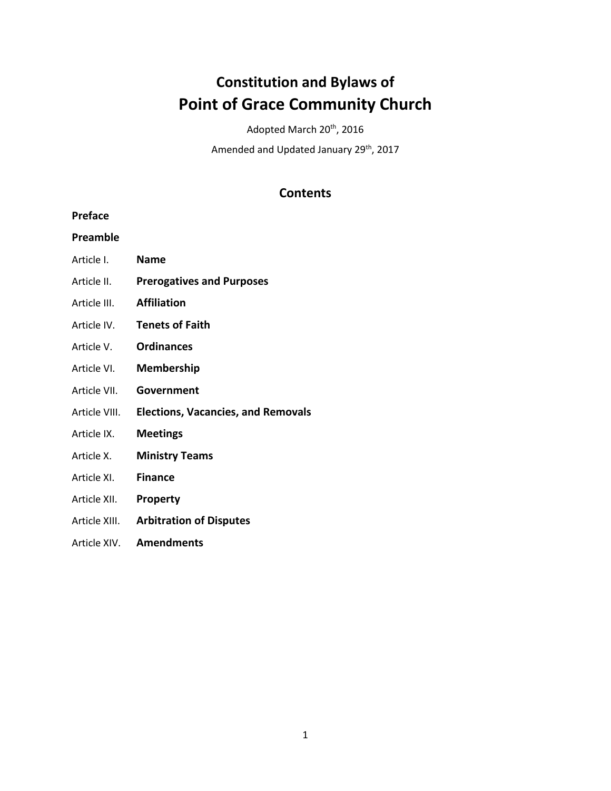# **Constitution and Bylaws of Point of Grace Community Church**

Adopted March 20<sup>th</sup>, 2016

Amended and Updated January 29<sup>th</sup>, 2017

# **Contents**

| <b>Preface</b> |
|----------------|
|----------------|

#### **Preamble**

- Article I. **Name**
- Article II. **Prerogatives and Purposes**
- Article III. **Affiliation**
- Article IV. **Tenets of Faith**
- Article V. **Ordinances**
- Article VI. **Membership**
- Article VII. **Government**
- Article VIII. **Elections, Vacancies, and Removals**
- Article IX. **Meetings**
- Article X. **Ministry Teams**
- Article XI. **Finance**
- Article XII. **Property**
- Article XIII. **Arbitration of Disputes**
- Article XIV. **Amendments**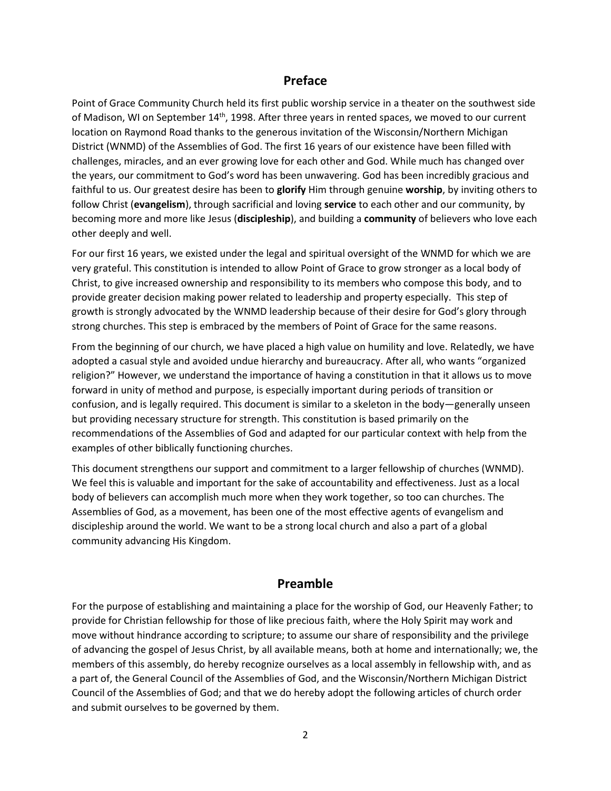# **Preface**

Point of Grace Community Church held its first public worship service in a theater on the southwest side of Madison, WI on September 14<sup>th</sup>, 1998. After three years in rented spaces, we moved to our current location on Raymond Road thanks to the generous invitation of the Wisconsin/Northern Michigan District (WNMD) of the Assemblies of God. The first 16 years of our existence have been filled with challenges, miracles, and an ever growing love for each other and God. While much has changed over the years, our commitment to God's word has been unwavering. God has been incredibly gracious and faithful to us. Our greatest desire has been to **glorify** Him through genuine **worship**, by inviting others to follow Christ (**evangelism**), through sacrificial and loving **service** to each other and our community, by becoming more and more like Jesus (**discipleship**), and building a **community** of believers who love each other deeply and well.

For our first 16 years, we existed under the legal and spiritual oversight of the WNMD for which we are very grateful. This constitution is intended to allow Point of Grace to grow stronger as a local body of Christ, to give increased ownership and responsibility to its members who compose this body, and to provide greater decision making power related to leadership and property especially. This step of growth is strongly advocated by the WNMD leadership because of their desire for God's glory through strong churches. This step is embraced by the members of Point of Grace for the same reasons.

From the beginning of our church, we have placed a high value on humility and love. Relatedly, we have adopted a casual style and avoided undue hierarchy and bureaucracy. After all, who wants "organized religion?" However, we understand the importance of having a constitution in that it allows us to move forward in unity of method and purpose, is especially important during periods of transition or confusion, and is legally required. This document is similar to a skeleton in the body—generally unseen but providing necessary structure for strength. This constitution is based primarily on the recommendations of the Assemblies of God and adapted for our particular context with help from the examples of other biblically functioning churches.

This document strengthens our support and commitment to a larger fellowship of churches (WNMD). We feel this is valuable and important for the sake of accountability and effectiveness. Just as a local body of believers can accomplish much more when they work together, so too can churches. The Assemblies of God, as a movement, has been one of the most effective agents of evangelism and discipleship around the world. We want to be a strong local church and also a part of a global community advancing His Kingdom.

## **Preamble**

For the purpose of establishing and maintaining a place for the worship of God, our Heavenly Father; to provide for Christian fellowship for those of like precious faith, where the Holy Spirit may work and move without hindrance according to scripture; to assume our share of responsibility and the privilege of advancing the gospel of Jesus Christ, by all available means, both at home and internationally; we, the members of this assembly, do hereby recognize ourselves as a local assembly in fellowship with, and as a part of, the General Council of the Assemblies of God, and the Wisconsin/Northern Michigan District Council of the Assemblies of God; and that we do hereby adopt the following articles of church order and submit ourselves to be governed by them.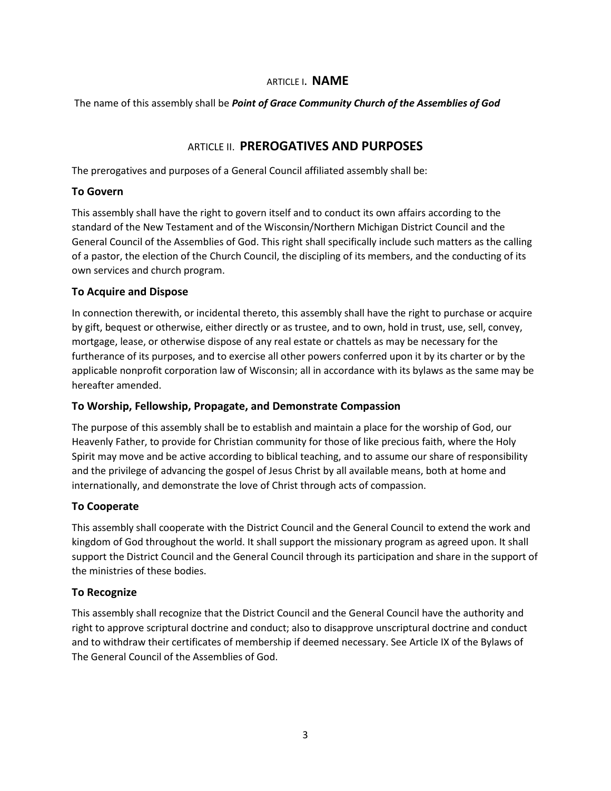## ARTICLE I**. NAME**

The name of this assembly shall be *Point of Grace Community Church of the Assemblies of God*

# ARTICLE II. **PREROGATIVES AND PURPOSES**

The prerogatives and purposes of a General Council affiliated assembly shall be:

#### **To Govern**

This assembly shall have the right to govern itself and to conduct its own affairs according to the standard of the New Testament and of the Wisconsin/Northern Michigan District Council and the General Council of the Assemblies of God. This right shall specifically include such matters as the calling of a pastor, the election of the Church Council, the discipling of its members, and the conducting of its own services and church program.

#### **To Acquire and Dispose**

In connection therewith, or incidental thereto, this assembly shall have the right to purchase or acquire by gift, bequest or otherwise, either directly or as trustee, and to own, hold in trust, use, sell, convey, mortgage, lease, or otherwise dispose of any real estate or chattels as may be necessary for the furtherance of its purposes, and to exercise all other powers conferred upon it by its charter or by the applicable nonprofit corporation law of Wisconsin; all in accordance with its bylaws as the same may be hereafter amended.

#### **To Worship, Fellowship, Propagate, and Demonstrate Compassion**

The purpose of this assembly shall be to establish and maintain a place for the worship of God, our Heavenly Father, to provide for Christian community for those of like precious faith, where the Holy Spirit may move and be active according to biblical teaching, and to assume our share of responsibility and the privilege of advancing the gospel of Jesus Christ by all available means, both at home and internationally, and demonstrate the love of Christ through acts of compassion.

#### **To Cooperate**

This assembly shall cooperate with the District Council and the General Council to extend the work and kingdom of God throughout the world. It shall support the missionary program as agreed upon. It shall support the District Council and the General Council through its participation and share in the support of the ministries of these bodies.

## **To Recognize**

This assembly shall recognize that the District Council and the General Council have the authority and right to approve scriptural doctrine and conduct; also to disapprove unscriptural doctrine and conduct and to withdraw their certificates of membership if deemed necessary. See Article IX of the Bylaws of The General Council of the Assemblies of God.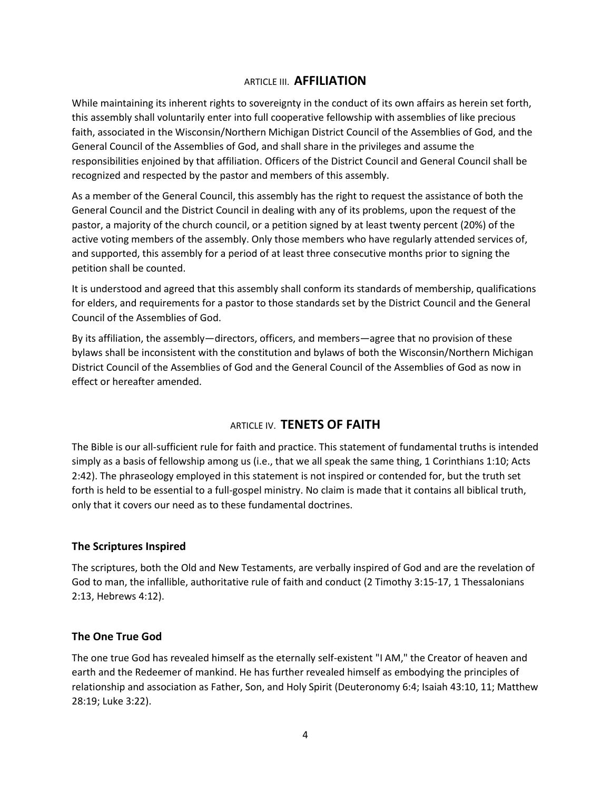# ARTICLE III. **AFFILIATION**

While maintaining its inherent rights to sovereignty in the conduct of its own affairs as herein set forth, this assembly shall voluntarily enter into full cooperative fellowship with assemblies of like precious faith, associated in the Wisconsin/Northern Michigan District Council of the Assemblies of God, and the General Council of the Assemblies of God, and shall share in the privileges and assume the responsibilities enjoined by that affiliation. Officers of the District Council and General Council shall be recognized and respected by the pastor and members of this assembly.

As a member of the General Council, this assembly has the right to request the assistance of both the General Council and the District Council in dealing with any of its problems, upon the request of the pastor, a majority of the church council, or a petition signed by at least twenty percent (20%) of the active voting members of the assembly. Only those members who have regularly attended services of, and supported, this assembly for a period of at least three consecutive months prior to signing the petition shall be counted.

It is understood and agreed that this assembly shall conform its standards of membership, qualifications for elders, and requirements for a pastor to those standards set by the District Council and the General Council of the Assemblies of God.

By its affiliation, the assembly—directors, officers, and members—agree that no provision of these bylaws shall be inconsistent with the constitution and bylaws of both the Wisconsin/Northern Michigan District Council of the Assemblies of God and the General Council of the Assemblies of God as now in effect or hereafter amended.

# ARTICLE IV. **TENETS OF FAITH**

The Bible is our all-sufficient rule for faith and practice. This statement of fundamental truths is intended simply as a basis of fellowship among us (i.e., that we all speak the same thing, 1 Corinthians 1:10; Acts 2:42). The phraseology employed in this statement is not inspired or contended for, but the truth set forth is held to be essential to a full-gospel ministry. No claim is made that it contains all biblical truth, only that it covers our need as to these fundamental doctrines.

## **The Scriptures Inspired**

The scriptures, both the Old and New Testaments, are verbally inspired of God and are the revelation of God to man, the infallible, authoritative rule of faith and conduct (2 Timothy 3:15-17, 1 Thessalonians 2:13, Hebrews 4:12).

#### **The One True God**

The one true God has revealed himself as the eternally self-existent "I AM," the Creator of heaven and earth and the Redeemer of mankind. He has further revealed himself as embodying the principles of relationship and association as Father, Son, and Holy Spirit (Deuteronomy 6:4; Isaiah 43:10, 11; Matthew 28:19; Luke 3:22).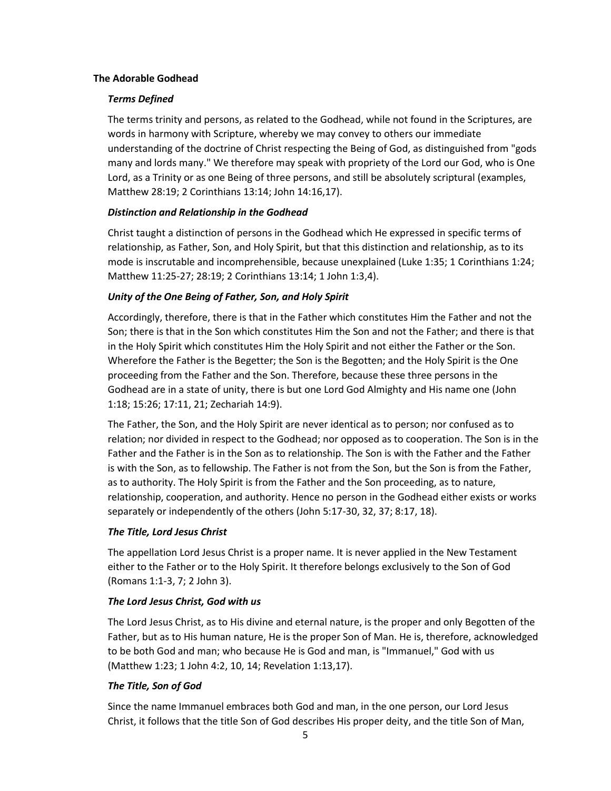#### **The Adorable Godhead**

#### *Terms Defined*

The terms trinity and persons, as related to the Godhead, while not found in the Scriptures, are words in harmony with Scripture, whereby we may convey to others our immediate understanding of the doctrine of Christ respecting the Being of God, as distinguished from "gods many and lords many." We therefore may speak with propriety of the Lord our God, who is One Lord, as a Trinity or as one Being of three persons, and still be absolutely scriptural (examples, Matthew 28:19; 2 Corinthians 13:14; John 14:16,17).

#### *Distinction and Relationship in the Godhead*

Christ taught a distinction of persons in the Godhead which He expressed in specific terms of relationship, as Father, Son, and Holy Spirit, but that this distinction and relationship, as to its mode is inscrutable and incomprehensible, because unexplained (Luke 1:35; 1 Corinthians 1:24; Matthew 11:25-27; 28:19; 2 Corinthians 13:14; 1 John 1:3,4).

#### *Unity of the One Being of Father, Son, and Holy Spirit*

Accordingly, therefore, there is that in the Father which constitutes Him the Father and not the Son; there is that in the Son which constitutes Him the Son and not the Father; and there is that in the Holy Spirit which constitutes Him the Holy Spirit and not either the Father or the Son. Wherefore the Father is the Begetter; the Son is the Begotten; and the Holy Spirit is the One proceeding from the Father and the Son. Therefore, because these three persons in the Godhead are in a state of unity, there is but one Lord God Almighty and His name one (John 1:18; 15:26; 17:11, 21; Zechariah 14:9).

The Father, the Son, and the Holy Spirit are never identical as to person; nor confused as to relation; nor divided in respect to the Godhead; nor opposed as to cooperation. The Son is in the Father and the Father is in the Son as to relationship. The Son is with the Father and the Father is with the Son, as to fellowship. The Father is not from the Son, but the Son is from the Father, as to authority. The Holy Spirit is from the Father and the Son proceeding, as to nature, relationship, cooperation, and authority. Hence no person in the Godhead either exists or works separately or independently of the others (John 5:17-30, 32, 37; 8:17, 18).

#### *The Title, Lord Jesus Christ*

The appellation Lord Jesus Christ is a proper name. It is never applied in the New Testament either to the Father or to the Holy Spirit. It therefore belongs exclusively to the Son of God (Romans 1:1-3, 7; 2 John 3).

#### *The Lord Jesus Christ, God with us*

The Lord Jesus Christ, as to His divine and eternal nature, is the proper and only Begotten of the Father, but as to His human nature, He is the proper Son of Man. He is, therefore, acknowledged to be both God and man; who because He is God and man, is "Immanuel," God with us (Matthew 1:23; 1 John 4:2, 10, 14; Revelation 1:13,17).

#### *The Title, Son of God*

Since the name Immanuel embraces both God and man, in the one person, our Lord Jesus Christ, it follows that the title Son of God describes His proper deity, and the title Son of Man,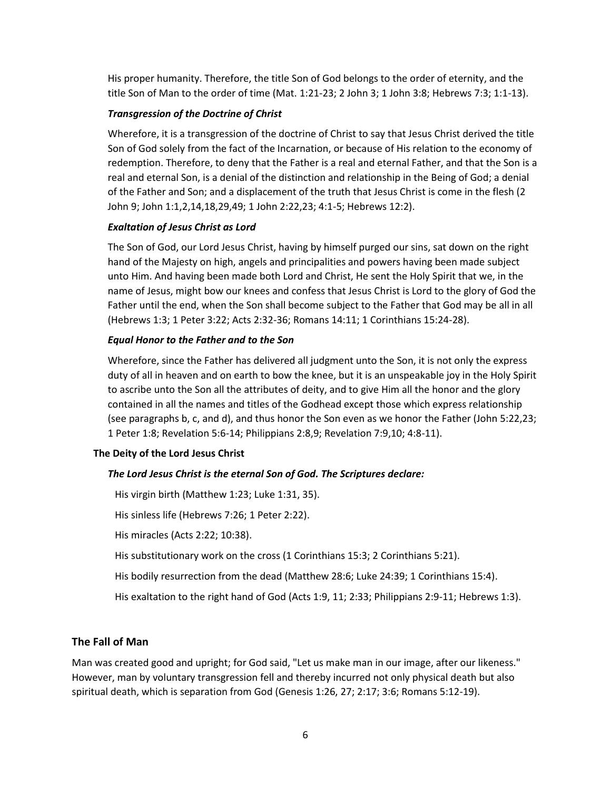His proper humanity. Therefore, the title Son of God belongs to the order of eternity, and the title Son of Man to the order of time (Mat. 1:21-23; 2 John 3; 1 John 3:8; Hebrews 7:3; 1:1-13).

## *Transgression of the Doctrine of Christ*

Wherefore, it is a transgression of the doctrine of Christ to say that Jesus Christ derived the title Son of God solely from the fact of the Incarnation, or because of His relation to the economy of redemption. Therefore, to deny that the Father is a real and eternal Father, and that the Son is a real and eternal Son, is a denial of the distinction and relationship in the Being of God; a denial of the Father and Son; and a displacement of the truth that Jesus Christ is come in the flesh (2 John 9; John 1:1,2,14,18,29,49; 1 John 2:22,23; 4:1-5; Hebrews 12:2).

## *Exaltation of Jesus Christ as Lord*

The Son of God, our Lord Jesus Christ, having by himself purged our sins, sat down on the right hand of the Majesty on high, angels and principalities and powers having been made subject unto Him. And having been made both Lord and Christ, He sent the Holy Spirit that we, in the name of Jesus, might bow our knees and confess that Jesus Christ is Lord to the glory of God the Father until the end, when the Son shall become subject to the Father that God may be all in all (Hebrews 1:3; 1 Peter 3:22; Acts 2:32-36; Romans 14:11; 1 Corinthians 15:24-28).

## *Equal Honor to the Father and to the Son*

Wherefore, since the Father has delivered all judgment unto the Son, it is not only the express duty of all in heaven and on earth to bow the knee, but it is an unspeakable joy in the Holy Spirit to ascribe unto the Son all the attributes of deity, and to give Him all the honor and the glory contained in all the names and titles of the Godhead except those which express relationship (see paragraphs b, c, and d), and thus honor the Son even as we honor the Father (John 5:22,23; 1 Peter 1:8; Revelation 5:6-14; Philippians 2:8,9; Revelation 7:9,10; 4:8-11).

## **The Deity of the Lord Jesus Christ**

## *The Lord Jesus Christ is the eternal Son of God. The Scriptures declare:*

His virgin birth (Matthew 1:23; Luke 1:31, 35).

His sinless life (Hebrews 7:26; 1 Peter 2:22).

His miracles (Acts 2:22; 10:38).

His substitutionary work on the cross (1 Corinthians 15:3; 2 Corinthians 5:21).

His bodily resurrection from the dead (Matthew 28:6; Luke 24:39; 1 Corinthians 15:4).

His exaltation to the right hand of God (Acts 1:9, 11; 2:33; Philippians 2:9-11; Hebrews 1:3).

## **The Fall of Man**

Man was created good and upright; for God said, "Let us make man in our image, after our likeness." However, man by voluntary transgression fell and thereby incurred not only physical death but also spiritual death, which is separation from God (Genesis 1:26, 27; 2:17; 3:6; Romans 5:12-19).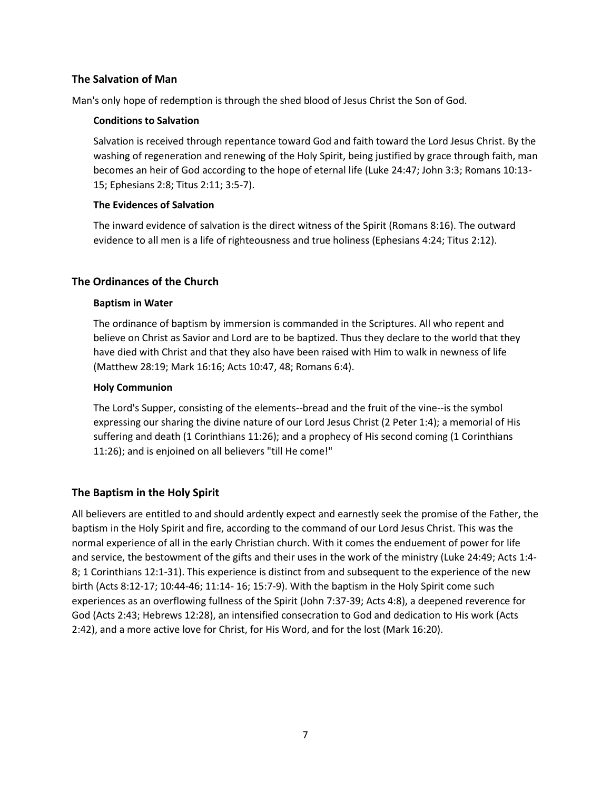### **The Salvation of Man**

Man's only hope of redemption is through the shed blood of Jesus Christ the Son of God.

#### **Conditions to Salvation**

Salvation is received through repentance toward God and faith toward the Lord Jesus Christ. By the washing of regeneration and renewing of the Holy Spirit, being justified by grace through faith, man becomes an heir of God according to the hope of eternal life (Luke 24:47; John 3:3; Romans 10:13- 15; Ephesians 2:8; Titus 2:11; 3:5-7).

#### **The Evidences of Salvation**

The inward evidence of salvation is the direct witness of the Spirit (Romans 8:16). The outward evidence to all men is a life of righteousness and true holiness (Ephesians 4:24; Titus 2:12).

## **The Ordinances of the Church**

#### **Baptism in Water**

The ordinance of baptism by immersion is commanded in the Scriptures. All who repent and believe on Christ as Savior and Lord are to be baptized. Thus they declare to the world that they have died with Christ and that they also have been raised with Him to walk in newness of life (Matthew 28:19; Mark 16:16; Acts 10:47, 48; Romans 6:4).

#### **Holy Communion**

The Lord's Supper, consisting of the elements--bread and the fruit of the vine--is the symbol expressing our sharing the divine nature of our Lord Jesus Christ (2 Peter 1:4); a memorial of His suffering and death (1 Corinthians 11:26); and a prophecy of His second coming (1 Corinthians 11:26); and is enjoined on all believers "till He come!"

## **The Baptism in the Holy Spirit**

All believers are entitled to and should ardently expect and earnestly seek the promise of the Father, the baptism in the Holy Spirit and fire, according to the command of our Lord Jesus Christ. This was the normal experience of all in the early Christian church. With it comes the enduement of power for life and service, the bestowment of the gifts and their uses in the work of the ministry (Luke 24:49; Acts 1:4- 8; 1 Corinthians 12:1-31). This experience is distinct from and subsequent to the experience of the new birth (Acts 8:12-17; 10:44-46; 11:14- 16; 15:7-9). With the baptism in the Holy Spirit come such experiences as an overflowing fullness of the Spirit (John 7:37-39; Acts 4:8), a deepened reverence for God (Acts 2:43; Hebrews 12:28), an intensified consecration to God and dedication to His work (Acts 2:42), and a more active love for Christ, for His Word, and for the lost (Mark 16:20).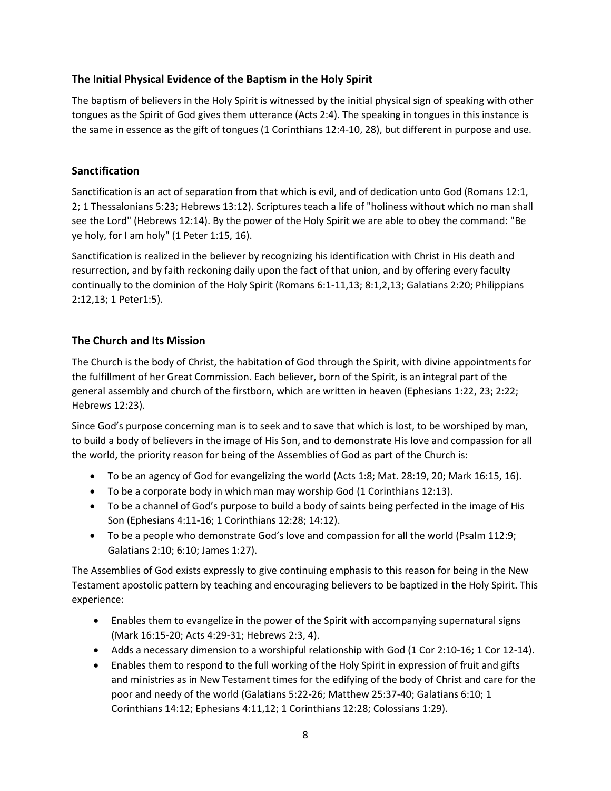# **The Initial Physical Evidence of the Baptism in the Holy Spirit**

The baptism of believers in the Holy Spirit is witnessed by the initial physical sign of speaking with other tongues as the Spirit of God gives them utterance (Acts 2:4). The speaking in tongues in this instance is the same in essence as the gift of tongues (1 Corinthians 12:4-10, 28), but different in purpose and use.

# **Sanctification**

Sanctification is an act of separation from that which is evil, and of dedication unto God (Romans 12:1, 2; 1 Thessalonians 5:23; Hebrews 13:12). Scriptures teach a life of "holiness without which no man shall see the Lord" (Hebrews 12:14). By the power of the Holy Spirit we are able to obey the command: "Be ye holy, for I am holy" (1 Peter 1:15, 16).

Sanctification is realized in the believer by recognizing his identification with Christ in His death and resurrection, and by faith reckoning daily upon the fact of that union, and by offering every faculty continually to the dominion of the Holy Spirit (Romans 6:1-11,13; 8:1,2,13; Galatians 2:20; Philippians 2:12,13; 1 Peter1:5).

# **The Church and Its Mission**

The Church is the body of Christ, the habitation of God through the Spirit, with divine appointments for the fulfillment of her Great Commission. Each believer, born of the Spirit, is an integral part of the general assembly and church of the firstborn, which are written in heaven (Ephesians 1:22, 23; 2:22; Hebrews 12:23).

Since God's purpose concerning man is to seek and to save that which is lost, to be worshiped by man, to build a body of believers in the image of His Son, and to demonstrate His love and compassion for all the world, the priority reason for being of the Assemblies of God as part of the Church is:

- To be an agency of God for evangelizing the world (Acts 1:8; Mat. 28:19, 20; Mark 16:15, 16).
- To be a corporate body in which man may worship God (1 Corinthians 12:13).
- To be a channel of God's purpose to build a body of saints being perfected in the image of His Son (Ephesians 4:11-16; 1 Corinthians 12:28; 14:12).
- To be a people who demonstrate God's love and compassion for all the world (Psalm 112:9; Galatians 2:10; 6:10; James 1:27).

The Assemblies of God exists expressly to give continuing emphasis to this reason for being in the New Testament apostolic pattern by teaching and encouraging believers to be baptized in the Holy Spirit. This experience:

- Enables them to evangelize in the power of the Spirit with accompanying supernatural signs (Mark 16:15-20; Acts 4:29-31; Hebrews 2:3, 4).
- Adds a necessary dimension to a worshipful relationship with God (1 Cor 2:10-16; 1 Cor 12-14).
- Enables them to respond to the full working of the Holy Spirit in expression of fruit and gifts and ministries as in New Testament times for the edifying of the body of Christ and care for the poor and needy of the world (Galatians 5:22-26; Matthew 25:37-40; Galatians 6:10; 1 Corinthians 14:12; Ephesians 4:11,12; 1 Corinthians 12:28; Colossians 1:29).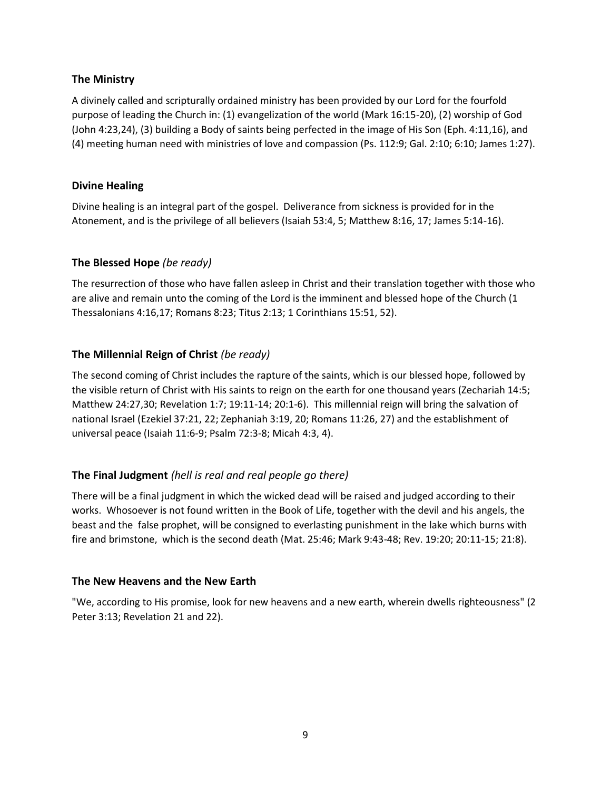## **The Ministry**

A divinely called and scripturally ordained ministry has been provided by our Lord for the fourfold purpose of leading the Church in: (1) evangelization of the world (Mark 16:15-20), (2) worship of God (John 4:23,24), (3) building a Body of saints being perfected in the image of His Son (Eph. 4:11,16), and (4) meeting human need with ministries of love and compassion (Ps. 112:9; Gal. 2:10; 6:10; James 1:27).

#### **Divine Healing**

Divine healing is an integral part of the gospel. Deliverance from sickness is provided for in the Atonement, and is the privilege of all believers (Isaiah 53:4, 5; Matthew 8:16, 17; James 5:14-16).

## **The Blessed Hope** *(be ready)*

The resurrection of those who have fallen asleep in Christ and their translation together with those who are alive and remain unto the coming of the Lord is the imminent and blessed hope of the Church (1 Thessalonians 4:16,17; Romans 8:23; Titus 2:13; 1 Corinthians 15:51, 52).

# **The Millennial Reign of Christ** *(be ready)*

The second coming of Christ includes the rapture of the saints, which is our blessed hope, followed by the visible return of Christ with His saints to reign on the earth for one thousand years (Zechariah 14:5; Matthew 24:27,30; Revelation 1:7; 19:11-14; 20:1-6). This millennial reign will bring the salvation of national Israel (Ezekiel 37:21, 22; Zephaniah 3:19, 20; Romans 11:26, 27) and the establishment of universal peace (Isaiah 11:6-9; Psalm 72:3-8; Micah 4:3, 4).

## **The Final Judgment** *(hell is real and real people go there)*

There will be a final judgment in which the wicked dead will be raised and judged according to their works. Whosoever is not found written in the Book of Life, together with the devil and his angels, the beast and the false prophet, will be consigned to everlasting punishment in the lake which burns with fire and brimstone, which is the second death (Mat. 25:46; Mark 9:43-48; Rev. 19:20; 20:11-15; 21:8).

## **The New Heavens and the New Earth**

"We, according to His promise, look for new heavens and a new earth, wherein dwells righteousness" (2 Peter 3:13; Revelation 21 and 22).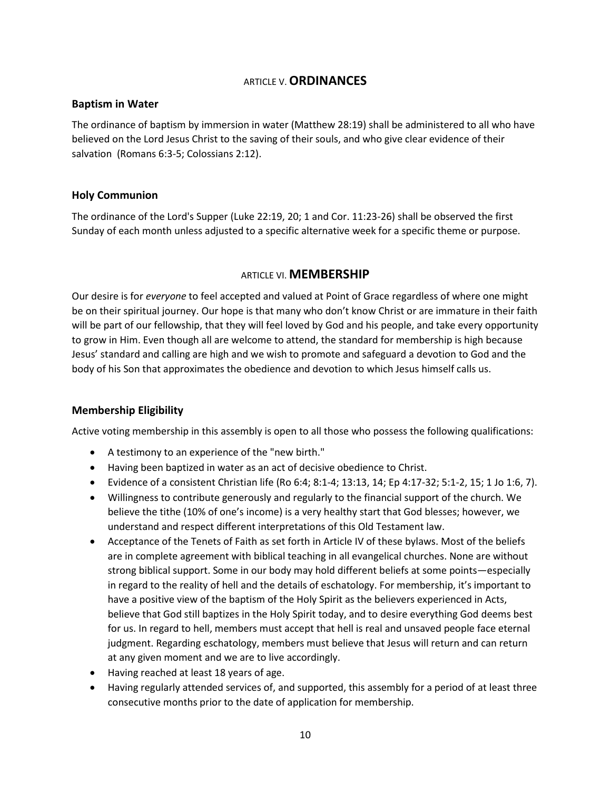# ARTICLE V. **ORDINANCES**

#### **Baptism in Water**

The ordinance of baptism by immersion in water (Matthew 28:19) shall be administered to all who have believed on the Lord Jesus Christ to the saving of their souls, and who give clear evidence of their salvation (Romans 6:3-5; Colossians 2:12).

## **Holy Communion**

The ordinance of the Lord's Supper (Luke 22:19, 20; 1 and Cor. 11:23-26) shall be observed the first Sunday of each month unless adjusted to a specific alternative week for a specific theme or purpose.

#### ARTICLE VI. **MEMBERSHIP**

Our desire is for *everyone* to feel accepted and valued at Point of Grace regardless of where one might be on their spiritual journey. Our hope is that many who don't know Christ or are immature in their faith will be part of our fellowship, that they will feel loved by God and his people, and take every opportunity to grow in Him. Even though all are welcome to attend, the standard for membership is high because Jesus' standard and calling are high and we wish to promote and safeguard a devotion to God and the body of his Son that approximates the obedience and devotion to which Jesus himself calls us.

#### **Membership Eligibility**

Active voting membership in this assembly is open to all those who possess the following qualifications:

- A testimony to an experience of the "new birth."
- Having been baptized in water as an act of decisive obedience to Christ.
- Evidence of a consistent Christian life (Ro 6:4; 8:1-4; 13:13, 14; Ep 4:17-32; 5:1-2, 15; 1 Jo 1:6, 7).
- Willingness to contribute generously and regularly to the financial support of the church. We believe the tithe (10% of one's income) is a very healthy start that God blesses; however, we understand and respect different interpretations of this Old Testament law.
- Acceptance of the Tenets of Faith as set forth in Article IV of these bylaws. Most of the beliefs are in complete agreement with biblical teaching in all evangelical churches. None are without strong biblical support. Some in our body may hold different beliefs at some points—especially in regard to the reality of hell and the details of eschatology. For membership, it's important to have a positive view of the baptism of the Holy Spirit as the believers experienced in Acts, believe that God still baptizes in the Holy Spirit today, and to desire everything God deems best for us. In regard to hell, members must accept that hell is real and unsaved people face eternal judgment. Regarding eschatology, members must believe that Jesus will return and can return at any given moment and we are to live accordingly.
- Having reached at least 18 years of age.
- Having regularly attended services of, and supported, this assembly for a period of at least three consecutive months prior to the date of application for membership.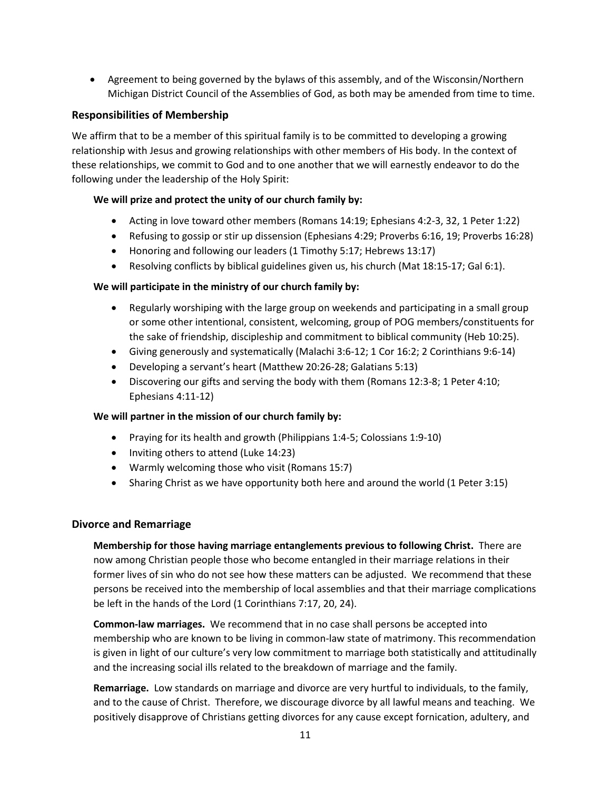Agreement to being governed by the bylaws of this assembly, and of the Wisconsin/Northern Michigan District Council of the Assemblies of God, as both may be amended from time to time.

## **Responsibilities of Membership**

We affirm that to be a member of this spiritual family is to be committed to developing a growing relationship with Jesus and growing relationships with other members of His body. In the context of these relationships, we commit to God and to one another that we will earnestly endeavor to do the following under the leadership of the Holy Spirit:

## **We will prize and protect the unity of our church family by:**

- Acting in love toward other members (Romans 14:19; Ephesians 4:2-3, 32, 1 Peter 1:22)
- Refusing to gossip or stir up dissension (Ephesians 4:29; Proverbs 6:16, 19; Proverbs 16:28)
- Honoring and following our leaders (1 Timothy 5:17; Hebrews 13:17)
- Resolving conflicts by biblical guidelines given us, his church (Mat 18:15-17; Gal 6:1).

## **We will participate in the ministry of our church family by:**

- Regularly worshiping with the large group on weekends and participating in a small group or some other intentional, consistent, welcoming, group of POG members/constituents for the sake of friendship, discipleship and commitment to biblical community (Heb 10:25).
- Giving generously and systematically (Malachi 3:6-12; 1 Cor 16:2; 2 Corinthians 9:6-14)
- Developing a servant's heart (Matthew 20:26-28; Galatians 5:13)
- Discovering our gifts and serving the body with them (Romans 12:3-8; 1 Peter 4:10; Ephesians 4:11-12)

## **We will partner in the mission of our church family by:**

- Praying for its health and growth (Philippians 1:4-5; Colossians 1:9-10)
- Inviting others to attend (Luke 14:23)
- Warmly welcoming those who visit (Romans 15:7)
- Sharing Christ as we have opportunity both here and around the world (1 Peter 3:15)

## **Divorce and Remarriage**

**Membership for those having marriage entanglements previous to following Christ.** There are now among Christian people those who become entangled in their marriage relations in their former lives of sin who do not see how these matters can be adjusted. We recommend that these persons be received into the membership of local assemblies and that their marriage complications be left in the hands of the Lord (1 Corinthians 7:17, 20, 24).

**Common-law marriages.** We recommend that in no case shall persons be accepted into membership who are known to be living in common-law state of matrimony. This recommendation is given in light of our culture's very low commitment to marriage both statistically and attitudinally and the increasing social ills related to the breakdown of marriage and the family.

**Remarriage.** Low standards on marriage and divorce are very hurtful to individuals, to the family, and to the cause of Christ. Therefore, we discourage divorce by all lawful means and teaching. We positively disapprove of Christians getting divorces for any cause except fornication, adultery, and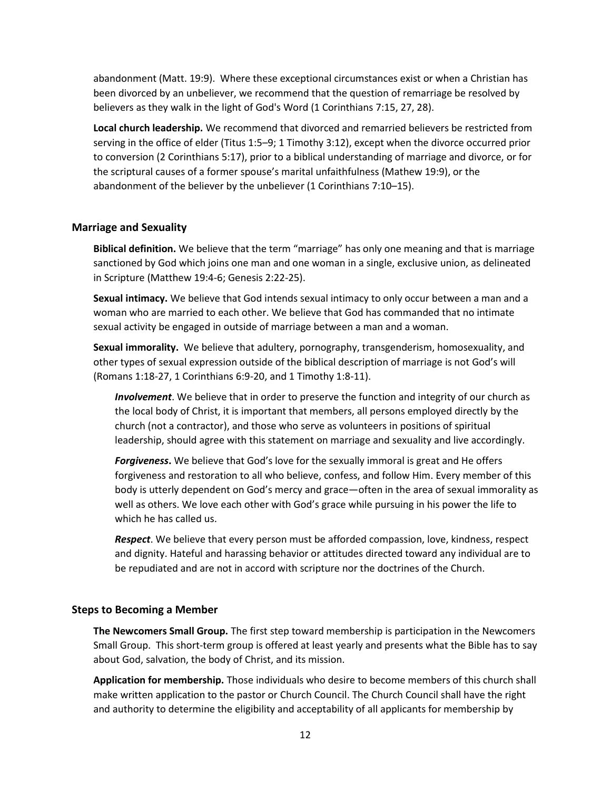abandonment (Matt. 19:9). Where these exceptional circumstances exist or when a Christian has been divorced by an unbeliever, we recommend that the question of remarriage be resolved by believers as they walk in the light of God's Word (1 Corinthians 7:15, 27, 28).

**Local church leadership.** We recommend that divorced and remarried believers be restricted from serving in the office of elder (Titus 1:5–9; 1 Timothy 3:12), except when the divorce occurred prior to conversion (2 Corinthians 5:17), prior to a biblical understanding of marriage and divorce, or for the scriptural causes of a former spouse's marital unfaithfulness (Mathew 19:9), or the abandonment of the believer by the unbeliever (1 Corinthians 7:10–15).

#### **Marriage and Sexuality**

**Biblical definition.** We believe that the term "marriage" has only one meaning and that is marriage sanctioned by God which joins one man and one woman in a single, exclusive union, as delineated in Scripture (Matthew 19:4-6; Genesis 2:22-25).

**Sexual intimacy.** We believe that God intends sexual intimacy to only occur between a man and a woman who are married to each other. We believe that God has commanded that no intimate sexual activity be engaged in outside of marriage between a man and a woman.

**Sexual immorality.** We believe that adultery, pornography, transgenderism, homosexuality, and other types of sexual expression outside of the biblical description of marriage is not God's will (Romans 1:18-27, 1 Corinthians 6:9-20, and 1 Timothy 1:8-11).

*Involvement*. We believe that in order to preserve the function and integrity of our church as the local body of Christ, it is important that members, all persons employed directly by the church (not a contractor), and those who serve as volunteers in positions of spiritual leadership, should agree with this statement on marriage and sexuality and live accordingly.

*Forgiveness***.** We believe that God's love for the sexually immoral is great and He offers forgiveness and restoration to all who believe, confess, and follow Him. Every member of this body is utterly dependent on God's mercy and grace—often in the area of sexual immorality as well as others. We love each other with God's grace while pursuing in his power the life to which he has called us.

*Respect*. We believe that every person must be afforded compassion, love, kindness, respect and dignity. Hateful and harassing behavior or attitudes directed toward any individual are to be repudiated and are not in accord with scripture nor the doctrines of the Church.

#### **Steps to Becoming a Member**

**The Newcomers Small Group.** The first step toward membership is participation in the Newcomers Small Group. This short-term group is offered at least yearly and presents what the Bible has to say about God, salvation, the body of Christ, and its mission.

**Application for membership.** Those individuals who desire to become members of this church shall make written application to the pastor or Church Council. The Church Council shall have the right and authority to determine the eligibility and acceptability of all applicants for membership by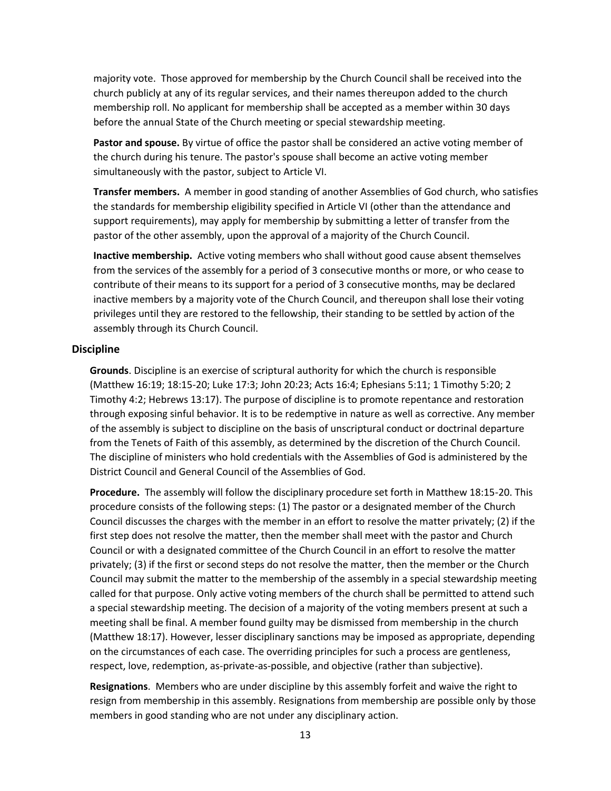majority vote. Those approved for membership by the Church Council shall be received into the church publicly at any of its regular services, and their names thereupon added to the church membership roll. No applicant for membership shall be accepted as a member within 30 days before the annual State of the Church meeting or special stewardship meeting.

**Pastor and spouse.** By virtue of office the pastor shall be considered an active voting member of the church during his tenure. The pastor's spouse shall become an active voting member simultaneously with the pastor, subject to Article VI.

**Transfer members.** A member in good standing of another Assemblies of God church, who satisfies the standards for membership eligibility specified in Article VI (other than the attendance and support requirements), may apply for membership by submitting a letter of transfer from the pastor of the other assembly, upon the approval of a majority of the Church Council.

**Inactive membership.** Active voting members who shall without good cause absent themselves from the services of the assembly for a period of 3 consecutive months or more, or who cease to contribute of their means to its support for a period of 3 consecutive months, may be declared inactive members by a majority vote of the Church Council, and thereupon shall lose their voting privileges until they are restored to the fellowship, their standing to be settled by action of the assembly through its Church Council.

#### **Discipline**

**Grounds**. Discipline is an exercise of scriptural authority for which the church is responsible (Matthew 16:19; 18:15-20; Luke 17:3; John 20:23; Acts 16:4; Ephesians 5:11; 1 Timothy 5:20; 2 Timothy 4:2; Hebrews 13:17). The purpose of discipline is to promote repentance and restoration through exposing sinful behavior. It is to be redemptive in nature as well as corrective. Any member of the assembly is subject to discipline on the basis of unscriptural conduct or doctrinal departure from the Tenets of Faith of this assembly, as determined by the discretion of the Church Council. The discipline of ministers who hold credentials with the Assemblies of God is administered by the District Council and General Council of the Assemblies of God.

**Procedure.** The assembly will follow the disciplinary procedure set forth in Matthew 18:15-20. This procedure consists of the following steps: (1) The pastor or a designated member of the Church Council discusses the charges with the member in an effort to resolve the matter privately; (2) if the first step does not resolve the matter, then the member shall meet with the pastor and Church Council or with a designated committee of the Church Council in an effort to resolve the matter privately; (3) if the first or second steps do not resolve the matter, then the member or the Church Council may submit the matter to the membership of the assembly in a special stewardship meeting called for that purpose. Only active voting members of the church shall be permitted to attend such a special stewardship meeting. The decision of a majority of the voting members present at such a meeting shall be final. A member found guilty may be dismissed from membership in the church (Matthew 18:17). However, lesser disciplinary sanctions may be imposed as appropriate, depending on the circumstances of each case. The overriding principles for such a process are gentleness, respect, love, redemption, as-private-as-possible, and objective (rather than subjective).

**Resignations**. Members who are under discipline by this assembly forfeit and waive the right to resign from membership in this assembly. Resignations from membership are possible only by those members in good standing who are not under any disciplinary action.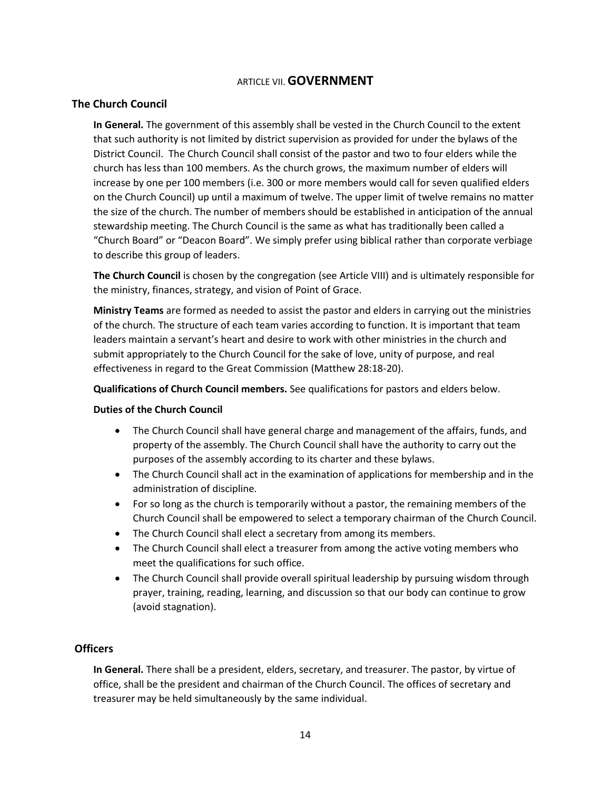# ARTICLE VII. **GOVERNMENT**

#### **The Church Council**

**In General.** The government of this assembly shall be vested in the Church Council to the extent that such authority is not limited by district supervision as provided for under the bylaws of the District Council. The Church Council shall consist of the pastor and two to four elders while the church has less than 100 members. As the church grows, the maximum number of elders will increase by one per 100 members (i.e. 300 or more members would call for seven qualified elders on the Church Council) up until a maximum of twelve. The upper limit of twelve remains no matter the size of the church. The number of members should be established in anticipation of the annual stewardship meeting. The Church Council is the same as what has traditionally been called a "Church Board" or "Deacon Board". We simply prefer using biblical rather than corporate verbiage to describe this group of leaders.

**The Church Council** is chosen by the congregation (see Article VIII) and is ultimately responsible for the ministry, finances, strategy, and vision of Point of Grace.

**Ministry Teams** are formed as needed to assist the pastor and elders in carrying out the ministries of the church. The structure of each team varies according to function. It is important that team leaders maintain a servant's heart and desire to work with other ministries in the church and submit appropriately to the Church Council for the sake of love, unity of purpose, and real effectiveness in regard to the Great Commission (Matthew 28:18-20).

**Qualifications of Church Council members.** See qualifications for pastors and elders below.

#### **Duties of the Church Council**

- The Church Council shall have general charge and management of the affairs, funds, and property of the assembly. The Church Council shall have the authority to carry out the purposes of the assembly according to its charter and these bylaws.
- The Church Council shall act in the examination of applications for membership and in the administration of discipline.
- For so long as the church is temporarily without a pastor, the remaining members of the Church Council shall be empowered to select a temporary chairman of the Church Council.
- The Church Council shall elect a secretary from among its members.
- The Church Council shall elect a treasurer from among the active voting members who meet the qualifications for such office.
- The Church Council shall provide overall spiritual leadership by pursuing wisdom through prayer, training, reading, learning, and discussion so that our body can continue to grow (avoid stagnation).

## **Officers**

**In General.** There shall be a president, elders, secretary, and treasurer. The pastor, by virtue of office, shall be the president and chairman of the Church Council. The offices of secretary and treasurer may be held simultaneously by the same individual.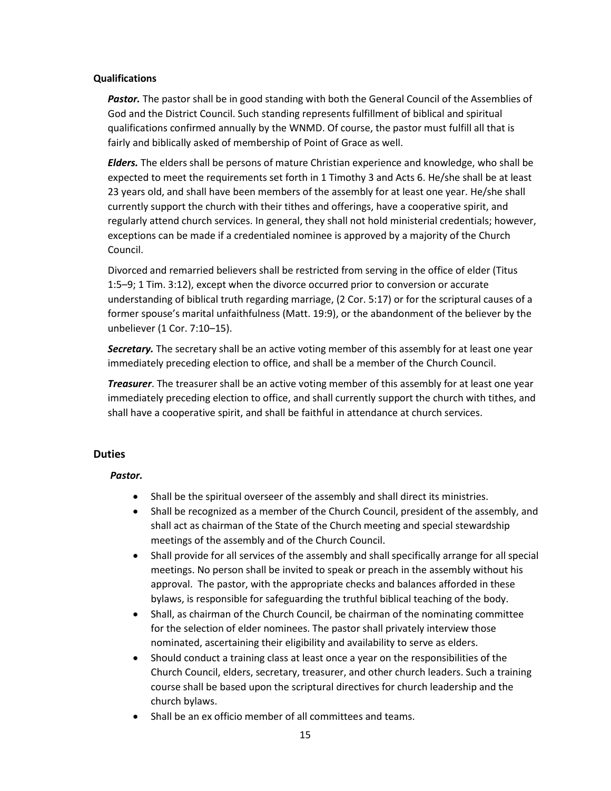#### **Qualifications**

Pastor. The pastor shall be in good standing with both the General Council of the Assemblies of God and the District Council. Such standing represents fulfillment of biblical and spiritual qualifications confirmed annually by the WNMD. Of course, the pastor must fulfill all that is fairly and biblically asked of membership of Point of Grace as well.

*Elders.* The elders shall be persons of mature Christian experience and knowledge, who shall be expected to meet the requirements set forth in 1 Timothy 3 and Acts 6. He/she shall be at least 23 years old, and shall have been members of the assembly for at least one year. He/she shall currently support the church with their tithes and offerings, have a cooperative spirit, and regularly attend church services. In general, they shall not hold ministerial credentials; however, exceptions can be made if a credentialed nominee is approved by a majority of the Church Council.

Divorced and remarried believers shall be restricted from serving in the office of elder (Titus 1:5–9; 1 Tim. 3:12), except when the divorce occurred prior to conversion or accurate understanding of biblical truth regarding marriage, (2 Cor. 5:17) or for the scriptural causes of a former spouse's marital unfaithfulness (Matt. 19:9), or the abandonment of the believer by the unbeliever (1 Cor. 7:10–15).

**Secretary.** The secretary shall be an active voting member of this assembly for at least one year immediately preceding election to office, and shall be a member of the Church Council.

*Treasurer*. The treasurer shall be an active voting member of this assembly for at least one year immediately preceding election to office, and shall currently support the church with tithes, and shall have a cooperative spirit, and shall be faithful in attendance at church services.

#### **Duties**

#### *Pastor.*

- Shall be the spiritual overseer of the assembly and shall direct its ministries.
- Shall be recognized as a member of the Church Council, president of the assembly, and shall act as chairman of the State of the Church meeting and special stewardship meetings of the assembly and of the Church Council.
- Shall provide for all services of the assembly and shall specifically arrange for all special meetings. No person shall be invited to speak or preach in the assembly without his approval. The pastor, with the appropriate checks and balances afforded in these bylaws, is responsible for safeguarding the truthful biblical teaching of the body.
- Shall, as chairman of the Church Council, be chairman of the nominating committee for the selection of elder nominees. The pastor shall privately interview those nominated, ascertaining their eligibility and availability to serve as elders.
- Should conduct a training class at least once a year on the responsibilities of the Church Council, elders, secretary, treasurer, and other church leaders. Such a training course shall be based upon the scriptural directives for church leadership and the church bylaws.
- Shall be an ex officio member of all committees and teams.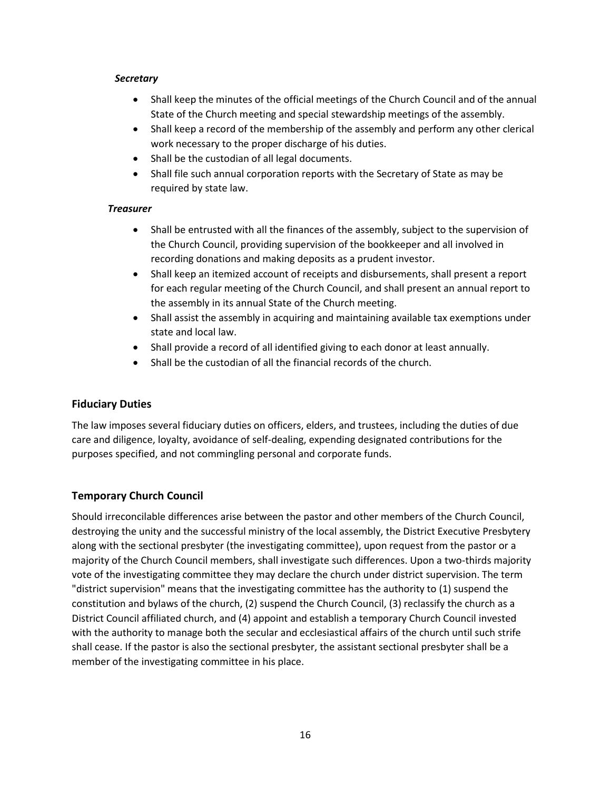#### *Secretary*

- Shall keep the minutes of the official meetings of the Church Council and of the annual State of the Church meeting and special stewardship meetings of the assembly.
- Shall keep a record of the membership of the assembly and perform any other clerical work necessary to the proper discharge of his duties.
- Shall be the custodian of all legal documents.
- Shall file such annual corporation reports with the Secretary of State as may be required by state law.

#### *Treasurer*

- Shall be entrusted with all the finances of the assembly, subject to the supervision of the Church Council, providing supervision of the bookkeeper and all involved in recording donations and making deposits as a prudent investor.
- Shall keep an itemized account of receipts and disbursements, shall present a report for each regular meeting of the Church Council, and shall present an annual report to the assembly in its annual State of the Church meeting.
- Shall assist the assembly in acquiring and maintaining available tax exemptions under state and local law.
- Shall provide a record of all identified giving to each donor at least annually.
- Shall be the custodian of all the financial records of the church.

## **Fiduciary Duties**

The law imposes several fiduciary duties on officers, elders, and trustees, including the duties of due care and diligence, loyalty, avoidance of self-dealing, expending designated contributions for the purposes specified, and not commingling personal and corporate funds.

## **Temporary Church Council**

Should irreconcilable differences arise between the pastor and other members of the Church Council, destroying the unity and the successful ministry of the local assembly, the District Executive Presbytery along with the sectional presbyter (the investigating committee), upon request from the pastor or a majority of the Church Council members, shall investigate such differences. Upon a two-thirds majority vote of the investigating committee they may declare the church under district supervision. The term "district supervision" means that the investigating committee has the authority to (1) suspend the constitution and bylaws of the church, (2) suspend the Church Council, (3) reclassify the church as a District Council affiliated church, and (4) appoint and establish a temporary Church Council invested with the authority to manage both the secular and ecclesiastical affairs of the church until such strife shall cease. If the pastor is also the sectional presbyter, the assistant sectional presbyter shall be a member of the investigating committee in his place.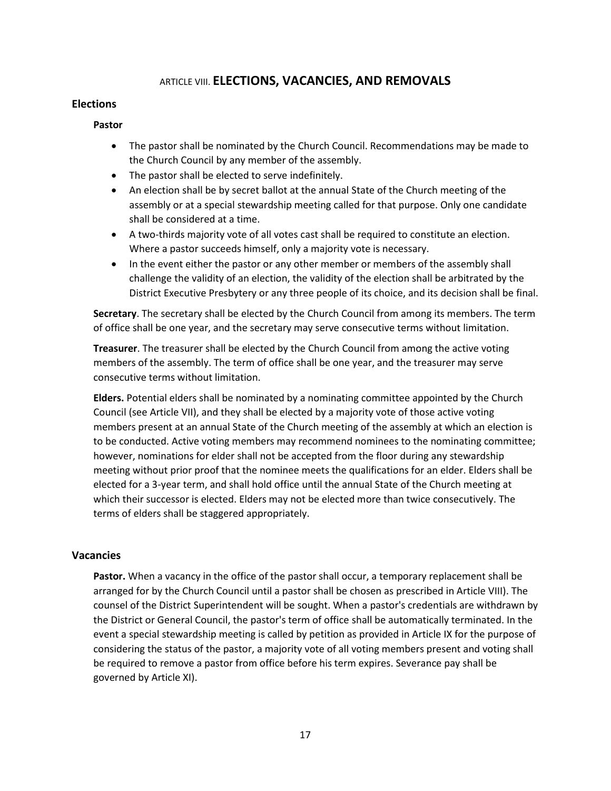# ARTICLE VIII. **ELECTIONS, VACANCIES, AND REMOVALS**

## **Elections**

#### **Pastor**

- The pastor shall be nominated by the Church Council. Recommendations may be made to the Church Council by any member of the assembly.
- The pastor shall be elected to serve indefinitely.
- An election shall be by secret ballot at the annual State of the Church meeting of the assembly or at a special stewardship meeting called for that purpose. Only one candidate shall be considered at a time.
- A two-thirds majority vote of all votes cast shall be required to constitute an election. Where a pastor succeeds himself, only a majority vote is necessary.
- In the event either the pastor or any other member or members of the assembly shall challenge the validity of an election, the validity of the election shall be arbitrated by the District Executive Presbytery or any three people of its choice, and its decision shall be final.

**Secretary**. The secretary shall be elected by the Church Council from among its members. The term of office shall be one year, and the secretary may serve consecutive terms without limitation.

**Treasurer**. The treasurer shall be elected by the Church Council from among the active voting members of the assembly. The term of office shall be one year, and the treasurer may serve consecutive terms without limitation.

**Elders.** Potential elders shall be nominated by a nominating committee appointed by the Church Council (see Article VII), and they shall be elected by a majority vote of those active voting members present at an annual State of the Church meeting of the assembly at which an election is to be conducted. Active voting members may recommend nominees to the nominating committee; however, nominations for elder shall not be accepted from the floor during any stewardship meeting without prior proof that the nominee meets the qualifications for an elder. Elders shall be elected for a 3-year term, and shall hold office until the annual State of the Church meeting at which their successor is elected. Elders may not be elected more than twice consecutively. The terms of elders shall be staggered appropriately.

## **Vacancies**

**Pastor.** When a vacancy in the office of the pastor shall occur, a temporary replacement shall be arranged for by the Church Council until a pastor shall be chosen as prescribed in Article VIII). The counsel of the District Superintendent will be sought. When a pastor's credentials are withdrawn by the District or General Council, the pastor's term of office shall be automatically terminated. In the event a special stewardship meeting is called by petition as provided in Article IX for the purpose of considering the status of the pastor, a majority vote of all voting members present and voting shall be required to remove a pastor from office before his term expires. Severance pay shall be governed by Article XI).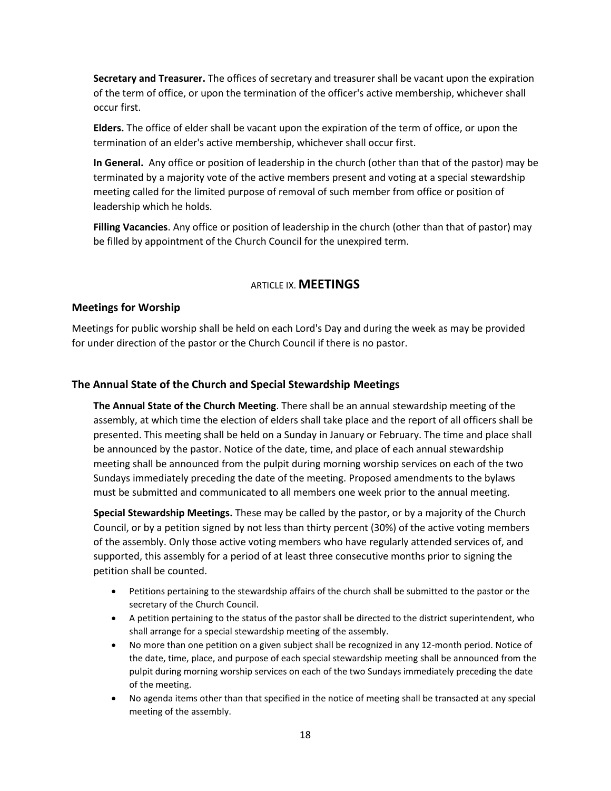**Secretary and Treasurer.** The offices of secretary and treasurer shall be vacant upon the expiration of the term of office, or upon the termination of the officer's active membership, whichever shall occur first.

**Elders.** The office of elder shall be vacant upon the expiration of the term of office, or upon the termination of an elder's active membership, whichever shall occur first.

**In General.** Any office or position of leadership in the church (other than that of the pastor) may be terminated by a majority vote of the active members present and voting at a special stewardship meeting called for the limited purpose of removal of such member from office or position of leadership which he holds.

**Filling Vacancies**. Any office or position of leadership in the church (other than that of pastor) may be filled by appointment of the Church Council for the unexpired term.

# ARTICLE IX. **MEETINGS**

#### **Meetings for Worship**

Meetings for public worship shall be held on each Lord's Day and during the week as may be provided for under direction of the pastor or the Church Council if there is no pastor.

## **The Annual State of the Church and Special Stewardship Meetings**

**The Annual State of the Church Meeting**. There shall be an annual stewardship meeting of the assembly, at which time the election of elders shall take place and the report of all officers shall be presented. This meeting shall be held on a Sunday in January or February. The time and place shall be announced by the pastor. Notice of the date, time, and place of each annual stewardship meeting shall be announced from the pulpit during morning worship services on each of the two Sundays immediately preceding the date of the meeting. Proposed amendments to the bylaws must be submitted and communicated to all members one week prior to the annual meeting.

**Special Stewardship Meetings.** These may be called by the pastor, or by a majority of the Church Council, or by a petition signed by not less than thirty percent (30%) of the active voting members of the assembly. Only those active voting members who have regularly attended services of, and supported, this assembly for a period of at least three consecutive months prior to signing the petition shall be counted.

- Petitions pertaining to the stewardship affairs of the church shall be submitted to the pastor or the secretary of the Church Council.
- A petition pertaining to the status of the pastor shall be directed to the district superintendent, who shall arrange for a special stewardship meeting of the assembly.
- No more than one petition on a given subject shall be recognized in any 12-month period. Notice of the date, time, place, and purpose of each special stewardship meeting shall be announced from the pulpit during morning worship services on each of the two Sundays immediately preceding the date of the meeting.
- No agenda items other than that specified in the notice of meeting shall be transacted at any special meeting of the assembly.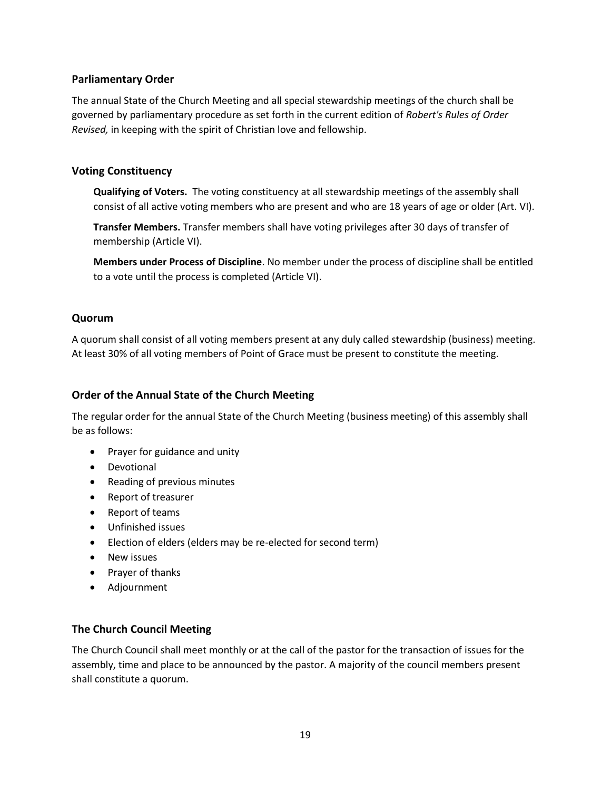## **Parliamentary Order**

The annual State of the Church Meeting and all special stewardship meetings of the church shall be governed by parliamentary procedure as set forth in the current edition of *Robert's Rules of Order Revised,* in keeping with the spirit of Christian love and fellowship.

## **Voting Constituency**

**Qualifying of Voters.** The voting constituency at all stewardship meetings of the assembly shall consist of all active voting members who are present and who are 18 years of age or older (Art. VI).

**Transfer Members.** Transfer members shall have voting privileges after 30 days of transfer of membership (Article VI).

**Members under Process of Discipline**. No member under the process of discipline shall be entitled to a vote until the process is completed (Article VI).

## **Quorum**

A quorum shall consist of all voting members present at any duly called stewardship (business) meeting. At least 30% of all voting members of Point of Grace must be present to constitute the meeting.

## **Order of the Annual State of the Church Meeting**

The regular order for the annual State of the Church Meeting (business meeting) of this assembly shall be as follows:

- Prayer for guidance and unity
- Devotional
- Reading of previous minutes
- Report of treasurer
- Report of teams
- Unfinished issues
- Election of elders (elders may be re-elected for second term)
- New issues
- Prayer of thanks
- Adjournment

## **The Church Council Meeting**

The Church Council shall meet monthly or at the call of the pastor for the transaction of issues for the assembly, time and place to be announced by the pastor. A majority of the council members present shall constitute a quorum.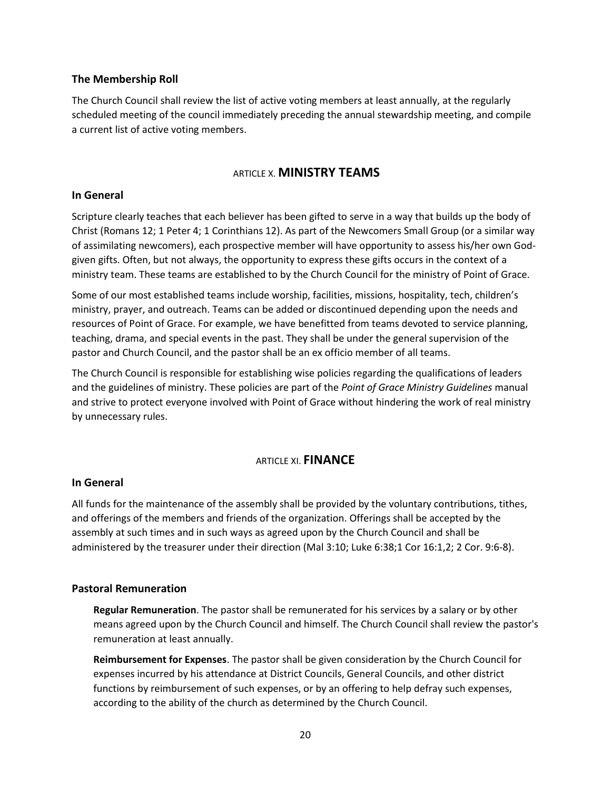### **The Membership Roll**

The Church Council shall review the list of active voting members at least annually, at the regularly scheduled meeting of the council immediately preceding the annual stewardship meeting, and compile a current list of active voting members.

## ARTICLE X. **MINISTRY TEAMS**

#### **In General**

Scripture clearly teaches that each believer has been gifted to serve in a way that builds up the body of Christ (Romans 12; 1 Peter 4; 1 Corinthians 12). As part of the Newcomers Small Group (or a similar way of assimilating newcomers), each prospective member will have opportunity to assess his/her own Godgiven gifts. Often, but not always, the opportunity to express these gifts occurs in the context of a ministry team. These teams are established to by the Church Council for the ministry of Point of Grace.

Some of our most established teams include worship, facilities, missions, hospitality, tech, children's ministry, prayer, and outreach. Teams can be added or discontinued depending upon the needs and resources of Point of Grace. For example, we have benefitted from teams devoted to service planning, teaching, drama, and special events in the past. They shall be under the general supervision of the pastor and Church Council, and the pastor shall be an ex officio member of all teams.

The Church Council is responsible for establishing wise policies regarding the qualifications of leaders and the guidelines of ministry. These policies are part of the *Point of Grace Ministry Guidelines* manual and strive to protect everyone involved with Point of Grace without hindering the work of real ministry by unnecessary rules.

## ARTICLE XI. **FINANCE**

#### **In General**

All funds for the maintenance of the assembly shall be provided by the voluntary contributions, tithes, and offerings of the members and friends of the organization. Offerings shall be accepted by the assembly at such times and in such ways as agreed upon by the Church Council and shall be administered by the treasurer under their direction (Mal 3:10; Luke 6:38;1 Cor 16:1,2; 2 Cor. 9:6-8).

#### **Pastoral Remuneration**

**Regular Remuneration**. The pastor shall be remunerated for his services by a salary or by other means agreed upon by the Church Council and himself. The Church Council shall review the pastor's remuneration at least annually.

**Reimbursement for Expenses**. The pastor shall be given consideration by the Church Council for expenses incurred by his attendance at District Councils, General Councils, and other district functions by reimbursement of such expenses, or by an offering to help defray such expenses, according to the ability of the church as determined by the Church Council.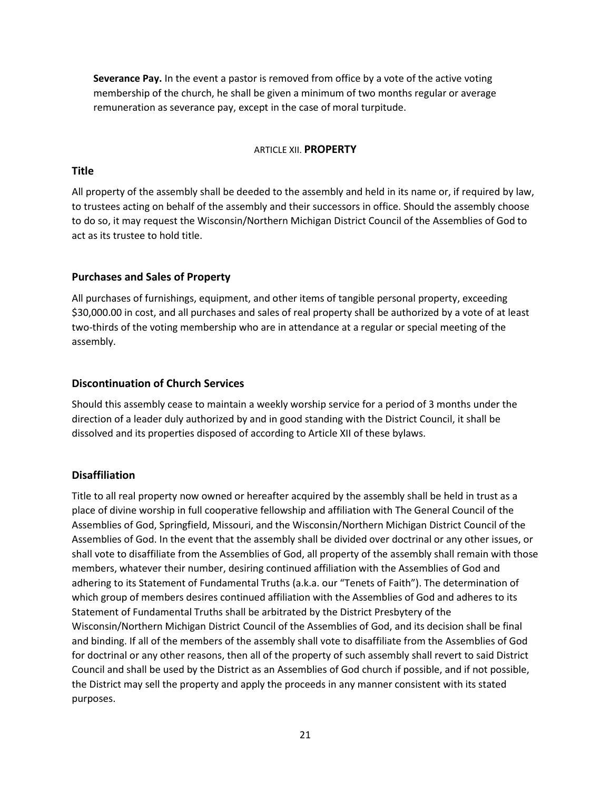**Severance Pay.** In the event a pastor is removed from office by a vote of the active voting membership of the church, he shall be given a minimum of two months regular or average remuneration as severance pay, except in the case of moral turpitude.

#### ARTICLE XII. **PROPERTY**

#### **Title**

All property of the assembly shall be deeded to the assembly and held in its name or, if required by law, to trustees acting on behalf of the assembly and their successors in office. Should the assembly choose to do so, it may request the Wisconsin/Northern Michigan District Council of the Assemblies of God to act as its trustee to hold title.

#### **Purchases and Sales of Property**

All purchases of furnishings, equipment, and other items of tangible personal property, exceeding \$30,000.00 in cost, and all purchases and sales of real property shall be authorized by a vote of at least two-thirds of the voting membership who are in attendance at a regular or special meeting of the assembly.

#### **Discontinuation of Church Services**

Should this assembly cease to maintain a weekly worship service for a period of 3 months under the direction of a leader duly authorized by and in good standing with the District Council, it shall be dissolved and its properties disposed of according to Article XII of these bylaws.

#### **Disaffiliation**

Title to all real property now owned or hereafter acquired by the assembly shall be held in trust as a place of divine worship in full cooperative fellowship and affiliation with The General Council of the Assemblies of God, Springfield, Missouri, and the Wisconsin/Northern Michigan District Council of the Assemblies of God. In the event that the assembly shall be divided over doctrinal or any other issues, or shall vote to disaffiliate from the Assemblies of God, all property of the assembly shall remain with those members, whatever their number, desiring continued affiliation with the Assemblies of God and adhering to its Statement of Fundamental Truths (a.k.a. our "Tenets of Faith"). The determination of which group of members desires continued affiliation with the Assemblies of God and adheres to its Statement of Fundamental Truths shall be arbitrated by the District Presbytery of the Wisconsin/Northern Michigan District Council of the Assemblies of God, and its decision shall be final and binding. If all of the members of the assembly shall vote to disaffiliate from the Assemblies of God for doctrinal or any other reasons, then all of the property of such assembly shall revert to said District Council and shall be used by the District as an Assemblies of God church if possible, and if not possible, the District may sell the property and apply the proceeds in any manner consistent with its stated purposes.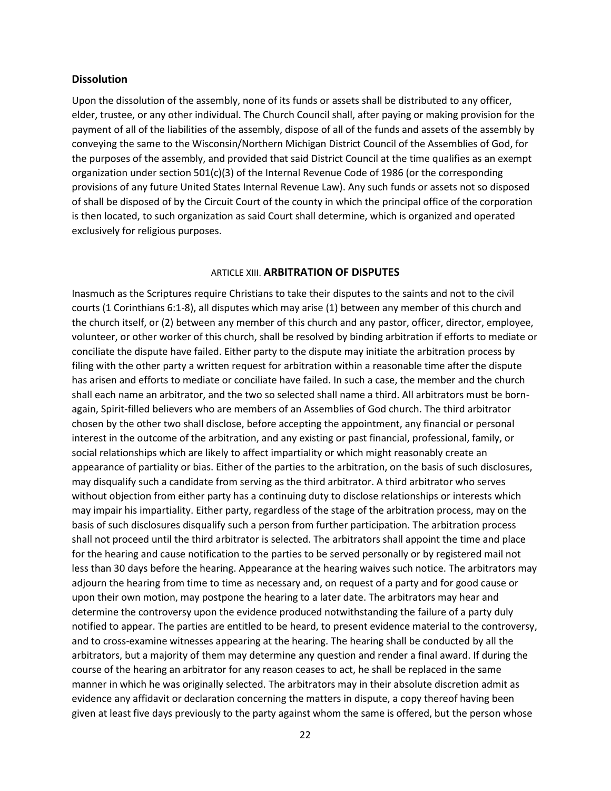#### **Dissolution**

Upon the dissolution of the assembly, none of its funds or assets shall be distributed to any officer, elder, trustee, or any other individual. The Church Council shall, after paying or making provision for the payment of all of the liabilities of the assembly, dispose of all of the funds and assets of the assembly by conveying the same to the Wisconsin/Northern Michigan District Council of the Assemblies of God, for the purposes of the assembly, and provided that said District Council at the time qualifies as an exempt organization under section 501(c)(3) of the Internal Revenue Code of 1986 (or the corresponding provisions of any future United States Internal Revenue Law). Any such funds or assets not so disposed of shall be disposed of by the Circuit Court of the county in which the principal office of the corporation is then located, to such organization as said Court shall determine, which is organized and operated exclusively for religious purposes.

#### ARTICLE XIII. **ARBITRATION OF DISPUTES**

Inasmuch as the Scriptures require Christians to take their disputes to the saints and not to the civil courts (1 Corinthians 6:1-8), all disputes which may arise (1) between any member of this church and the church itself, or (2) between any member of this church and any pastor, officer, director, employee, volunteer, or other worker of this church, shall be resolved by binding arbitration if efforts to mediate or conciliate the dispute have failed. Either party to the dispute may initiate the arbitration process by filing with the other party a written request for arbitration within a reasonable time after the dispute has arisen and efforts to mediate or conciliate have failed. In such a case, the member and the church shall each name an arbitrator, and the two so selected shall name a third. All arbitrators must be bornagain, Spirit-filled believers who are members of an Assemblies of God church. The third arbitrator chosen by the other two shall disclose, before accepting the appointment, any financial or personal interest in the outcome of the arbitration, and any existing or past financial, professional, family, or social relationships which are likely to affect impartiality or which might reasonably create an appearance of partiality or bias. Either of the parties to the arbitration, on the basis of such disclosures, may disqualify such a candidate from serving as the third arbitrator. A third arbitrator who serves without objection from either party has a continuing duty to disclose relationships or interests which may impair his impartiality. Either party, regardless of the stage of the arbitration process, may on the basis of such disclosures disqualify such a person from further participation. The arbitration process shall not proceed until the third arbitrator is selected. The arbitrators shall appoint the time and place for the hearing and cause notification to the parties to be served personally or by registered mail not less than 30 days before the hearing. Appearance at the hearing waives such notice. The arbitrators may adjourn the hearing from time to time as necessary and, on request of a party and for good cause or upon their own motion, may postpone the hearing to a later date. The arbitrators may hear and determine the controversy upon the evidence produced notwithstanding the failure of a party duly notified to appear. The parties are entitled to be heard, to present evidence material to the controversy, and to cross-examine witnesses appearing at the hearing. The hearing shall be conducted by all the arbitrators, but a majority of them may determine any question and render a final award. If during the course of the hearing an arbitrator for any reason ceases to act, he shall be replaced in the same manner in which he was originally selected. The arbitrators may in their absolute discretion admit as evidence any affidavit or declaration concerning the matters in dispute, a copy thereof having been given at least five days previously to the party against whom the same is offered, but the person whose